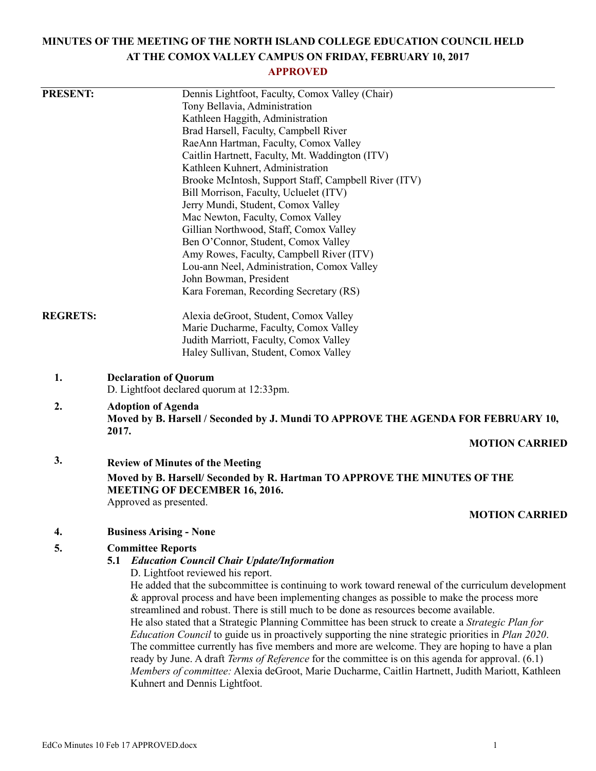# **MINUTES OF THE MEETING OF THE NORTH ISLAND COLLEGE EDUCATION COUNCIL HELD AT THE COMOX VALLEY CAMPUS ON FRIDAY, FEBRUARY 10, 2017**

## **APPROVED**

| <b>PRESENT:</b> | Dennis Lightfoot, Faculty, Comox Valley (Chair)                                                                    |
|-----------------|--------------------------------------------------------------------------------------------------------------------|
|                 | Tony Bellavia, Administration                                                                                      |
|                 | Kathleen Haggith, Administration                                                                                   |
|                 | Brad Harsell, Faculty, Campbell River                                                                              |
|                 | RaeAnn Hartman, Faculty, Comox Valley                                                                              |
|                 | Caitlin Hartnett, Faculty, Mt. Waddington (ITV)                                                                    |
|                 | Kathleen Kuhnert, Administration                                                                                   |
|                 | Brooke McIntosh, Support Staff, Campbell River (ITV)                                                               |
|                 | Bill Morrison, Faculty, Ucluelet (ITV)                                                                             |
|                 | Jerry Mundi, Student, Comox Valley                                                                                 |
|                 | Mac Newton, Faculty, Comox Valley                                                                                  |
|                 | Gillian Northwood, Staff, Comox Valley                                                                             |
|                 | Ben O'Connor, Student, Comox Valley                                                                                |
|                 | Amy Rowes, Faculty, Campbell River (ITV)                                                                           |
|                 | Lou-ann Neel, Administration, Comox Valley                                                                         |
|                 | John Bowman, President                                                                                             |
|                 | Kara Foreman, Recording Secretary (RS)                                                                             |
| <b>REGRETS:</b> | Alexia deGroot, Student, Comox Valley                                                                              |
|                 | Marie Ducharme, Faculty, Comox Valley                                                                              |
|                 | Judith Marriott, Faculty, Comox Valley                                                                             |
|                 | Haley Sullivan, Student, Comox Valley                                                                              |
| 1.              | <b>Declaration of Quorum</b>                                                                                       |
|                 | D. Lightfoot declared quorum at 12:33pm.                                                                           |
| 2.              | <b>Adoption of Agenda</b>                                                                                          |
|                 | Moved by B. Harsell / Seconded by J. Mundi TO APPROVE THE AGENDA FOR FEBRUARY 10,<br>2017.                         |
|                 | <b>MOTION CARRIED</b>                                                                                              |
| 3.              | <b>Review of Minutes of the Meeting</b>                                                                            |
|                 | Moved by B. Harsell/ Seconded by R. Hartman TO APPROVE THE MINUTES OF THE                                          |
|                 | <b>MEETING OF DECEMBER 16, 2016.</b>                                                                               |
|                 | Approved as presented.                                                                                             |
|                 | <b>MOTION CARRIED</b>                                                                                              |
| 4.              | <b>Business Arising - None</b>                                                                                     |
| 5.              | <b>Committee Reports</b>                                                                                           |
|                 | <b>Education Council Chair Update/Information</b><br>5.1                                                           |
|                 | D. Lightfoot reviewed his report.                                                                                  |
|                 | He added that the subcommittee is continuing to work toward renewal of the curriculum development                  |
|                 | & approval process and have been implementing changes as possible to make the process more                         |
|                 | streamlined and robust. There is still much to be done as resources become available.                              |
|                 | He also stated that a Strategic Planning Committee has been struck to create a Strategic Plan for                  |
|                 | <i>Education Council</i> to guide us in proactively supporting the nine strategic priorities in <i>Plan 2020</i> . |
|                 | The committee currently has five members and more are welcome. They are hoping to have a plan                      |
|                 | ready by June. A draft Terms of Reference for the committee is on this agenda for approval. (6.1)                  |
|                 | Members of committee: Alexia deGroot, Marie Ducharme, Caitlin Hartnett, Judith Mariott, Kathleen                   |
|                 | Kuhnert and Dennis Lightfoot.                                                                                      |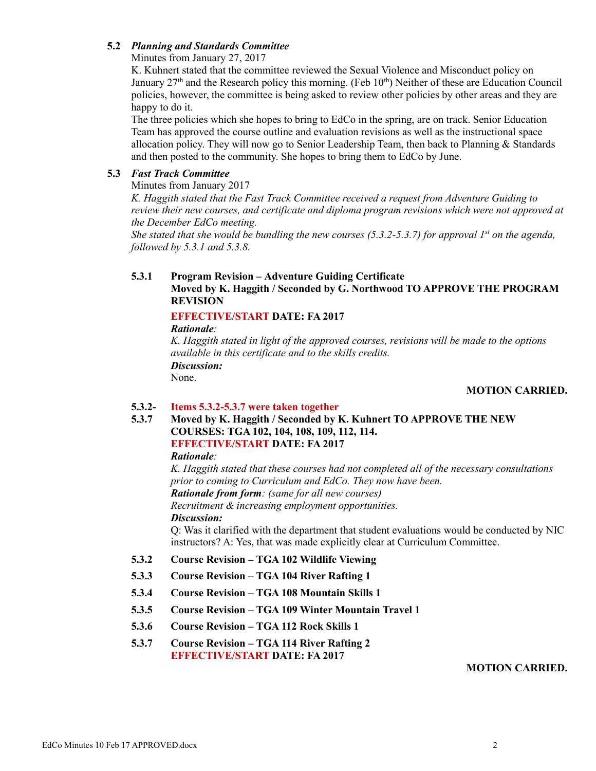## **5.2** *Planning and Standards Committee*

Minutes from January 27, 2017

K. Kuhnert stated that the committee reviewed the Sexual Violence and Misconduct policy on January  $27<sup>th</sup>$  and the Research policy this morning. (Feb  $10<sup>th</sup>$ ) Neither of these are Education Council policies, however, the committee is being asked to review other policies by other areas and they are happy to do it.

The three policies which she hopes to bring to EdCo in the spring, are on track. Senior Education Team has approved the course outline and evaluation revisions as well as the instructional space allocation policy. They will now go to Senior Leadership Team, then back to Planning  $&$  Standards and then posted to the community. She hopes to bring them to EdCo by June.

## **5.3** *Fast Track Committee*

Minutes from January 2017

*K. Haggith stated that the Fast Track Committee received a request from Adventure Guiding to review their new courses, and certificate and diploma program revisions which were not approved at the December EdCo meeting.*

*She stated that she would be bundling the new courses (5.3.2-5.3.7) for approval 1st on the agenda, followed by 5.3.1 and 5.3.8.*

## **5.3.1 Program Revision – Adventure Guiding Certificate**

## **Moved by K. Haggith / Seconded by G. Northwood TO APPROVE THE PROGRAM REVISION**

## **EFFECTIVE/START DATE: FA 2017**

*Rationale:*

*K. Haggith stated in light of the approved courses, revisions will be made to the options available in this certificate and to the skills credits. Discussion:* None.

## **MOTION CARRIED.**

#### **5.3.2- Items 5.3.2-5.3.7 were taken together**

**5.3.7 Moved by K. Haggith / Seconded by K. Kuhnert TO APPROVE THE NEW COURSES: TGA 102, 104, 108, 109, 112, 114. EFFECTIVE/START DATE: FA 2017**

## *Rationale:*

*K. Haggith stated that these courses had not completed all of the necessary consultations prior to coming to Curriculum and EdCo. They now have been. Rationale from form: (same for all new courses) Recruitment & increasing employment opportunities. Discussion:*

Q: Was it clarified with the department that student evaluations would be conducted by NIC instructors? A: Yes, that was made explicitly clear at Curriculum Committee.

- **5.3.2 Course Revision – TGA 102 Wildlife Viewing**
- **5.3.3 Course Revision – TGA 104 River Rafting 1**
- **5.3.4 Course Revision – TGA 108 Mountain Skills 1**
- **5.3.5 Course Revision – TGA 109 Winter Mountain Travel 1**
- **5.3.6 Course Revision – TGA 112 Rock Skills 1**
- **5.3.7 Course Revision – TGA 114 River Rafting 2 EFFECTIVE/START DATE: FA 2017**

#### **MOTION CARRIED.**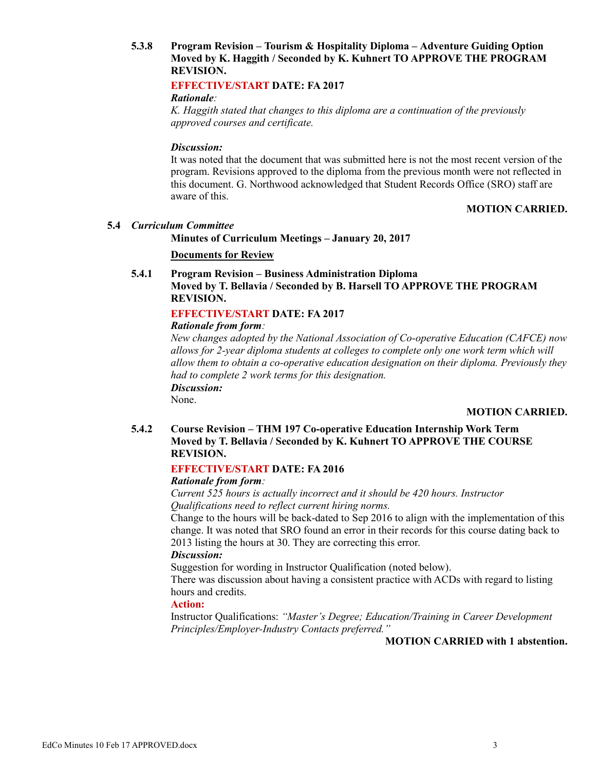## **5.3.8 Program Revision – Tourism & Hospitality Diploma – Adventure Guiding Option Moved by K. Haggith / Seconded by K. Kuhnert TO APPROVE THE PROGRAM REVISION.**

## **EFFECTIVE/START DATE: FA 2017**

#### *Rationale:*

*K. Haggith stated that changes to this diploma are a continuation of the previously approved courses and certificate.*

#### *Discussion:*

It was noted that the document that was submitted here is not the most recent version of the program. Revisions approved to the diploma from the previous month were not reflected in this document. G. Northwood acknowledged that Student Records Office (SRO) staff are aware of this.

## **MOTION CARRIED.**

#### **5.4** *Curriculum Committee*

#### **Minutes of Curriculum Meetings – January 20, 2017**

#### **Documents for Review**

**5.4.1 Program Revision – Business Administration Diploma Moved by T. Bellavia / Seconded by B. Harsell TO APPROVE THE PROGRAM REVISION.**

#### **EFFECTIVE/START DATE: FA 2017**

#### *Rationale from form:*

*New changes adopted by the National Association of Co-operative Education (CAFCE) now allows for 2-year diploma students at colleges to complete only one work term which will allow them to obtain a co-operative education designation on their diploma. Previously they had to complete 2 work terms for this designation. Discussion:*

None.

## **MOTION CARRIED.**

**5.4.2 Course Revision – THM 197 Co-operative Education Internship Work Term Moved by T. Bellavia / Seconded by K. Kuhnert TO APPROVE THE COURSE REVISION.**

#### **EFFECTIVE/START DATE: FA 2016**

#### *Rationale from form:*

*Current 525 hours is actually incorrect and it should be 420 hours. Instructor Qualifications need to reflect current hiring norms.*

Change to the hours will be back-dated to Sep 2016 to align with the implementation of this change. It was noted that SRO found an error in their records for this course dating back to 2013 listing the hours at 30. They are correcting this error.

#### *Discussion:*

Suggestion for wording in Instructor Qualification (noted below).

There was discussion about having a consistent practice with ACDs with regard to listing hours and credits.

#### **Action:**

Instructor Qualifications: *"Master's Degree; Education/Training in Career Development Principles/Employer-Industry Contacts preferred."*

**MOTION CARRIED with 1 abstention.**